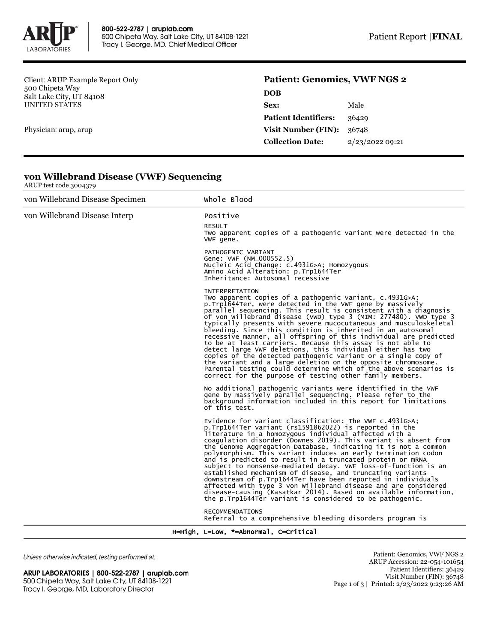

Client: ARUP Example Report Only 500 Chipeta Way Salt Lake City, UT 84108 UNITED STATES

**von Willebrand Disease (VWF) Sequencing**

Physician: arup, arup

ARUP test code 3004379

## **Patient: Genomics, VWF NGS 2**

| <b>DOB</b>                  |                 |
|-----------------------------|-----------------|
| Sex:                        | Male            |
| <b>Patient Identifiers:</b> | 36429           |
| <b>Visit Number (FIN):</b>  | 36748           |
| <b>Collection Date:</b>     | 2/23/2022 09:21 |
|                             |                 |

| von Willebrand Disease Specimen | Whole Blood                                                                                                                                                                                                                                                                                                                                                                                                                                                                                                                                                                                                                                                                                                                                                                                                                                                                             |  |
|---------------------------------|-----------------------------------------------------------------------------------------------------------------------------------------------------------------------------------------------------------------------------------------------------------------------------------------------------------------------------------------------------------------------------------------------------------------------------------------------------------------------------------------------------------------------------------------------------------------------------------------------------------------------------------------------------------------------------------------------------------------------------------------------------------------------------------------------------------------------------------------------------------------------------------------|--|
| von Willebrand Disease Interp   | Positive                                                                                                                                                                                                                                                                                                                                                                                                                                                                                                                                                                                                                                                                                                                                                                                                                                                                                |  |
|                                 | <b>RESULT</b><br>Two apparent copies of a pathogenic variant were detected in the<br>VWF gene.                                                                                                                                                                                                                                                                                                                                                                                                                                                                                                                                                                                                                                                                                                                                                                                          |  |
|                                 | PATHOGENIC VARIANT<br>Gene: VWF (NM_000552.5)<br>Nucleic Acid Change: c.4931G>A; Homozygous<br>Amino Acid Alteration: p.Trp1644Ter<br>Inheritance: Autosomal recessive                                                                                                                                                                                                                                                                                                                                                                                                                                                                                                                                                                                                                                                                                                                  |  |
|                                 | <b>INTERPRETATION</b><br>Two apparent copies of a pathogenic variant, c.4931G>A;<br>p.Trp1644Ter, were detected in the VWF gene by massively<br>parallel sequencing. This result is consistent with a diagnosis<br>of von Willebrand disease (VWD) type 3 (MIM: 277480). VWD type 3<br>typically presents with severe mucocutaneous and musculoskeletal<br>bleeding. Since this condition is inherited in an autosomal<br>recessive manner, all offspring of this individual are predicted<br>to be at least carriers. Because this assay is not able to<br>detect large VWF deletions, this individual either has two<br>copies of the detected pathogenic variant or a single copy of<br>the variant and a large deletion on the opposite chromosome.<br>Parental testing could determine which of the above scenarios is<br>correct for the purpose of testing other family members. |  |
|                                 | No additional pathogenic variants were identified in the VWF<br>gene by massively parallel sequencing. Please refer to the<br>background information included in this report for limitations<br>of this test.                                                                                                                                                                                                                                                                                                                                                                                                                                                                                                                                                                                                                                                                           |  |
|                                 | Evidence for variant classification: The VWF c.4931G>A;<br>p.Trp1644Ter variant (rs1591862022) is reported in the<br>literature in a homozygous individual affected with a<br>coagulation disorder (Downes 2019). This variant is absent from<br>the Genome Aggregation Database, indicating it is not a common<br>polymorphism. This variant induces an early termination codon<br>and is predicted to result in a truncated protein or mRNA<br>subject to nonsense-mediated decay. VWF loss-of-function is an<br>established mechanism of disease, and truncating variants<br>downstream of p.Trp1644Ter have been reported in individuals<br>affected with type 3 von willebrand disease and are considered<br>disease-causing (Kasatkar 2014). Based on available information,<br>the p.Trp1644Ter variant is considered to be pathogenic.                                          |  |
|                                 | <b>RECOMMENDATIONS</b><br>Referral to a comprehensive bleeding disorders program is                                                                                                                                                                                                                                                                                                                                                                                                                                                                                                                                                                                                                                                                                                                                                                                                     |  |

## H=High, L=Low, \*=Abnormal, C=Critical

Unless otherwise indicated, testing performed at:

ARUP LABORATORIES | 800-522-2787 | aruplab.com 500 Chipeta Way, Salt Lake City, UT 84108-1221 Tracy I. George, MD, Laboratory Director

Patient: Genomics, VWF NGS 2 ARUP Accession: 22-054-101654 Patient Identifiers: 36429 Visit Number (FIN): 36748 Page 1 of 3 | Printed: 2/23/2022 9:23:26 AM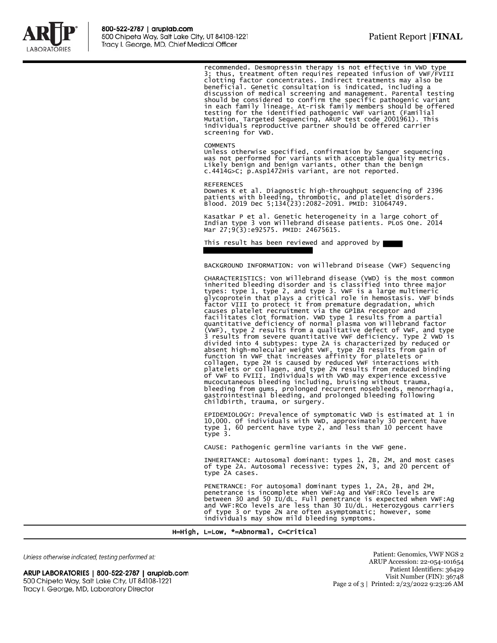

recommended. Desmopressin therapy is not effective in VWD type 3; thus, treatment often requires repeated infusion of VWF/FVIII clotting factor concentrates. Indirect treatments may also be beneficial. Genetic consultation is indicated, including a discussion of medical screening and management. Parental testing should be considered to confirm the specific pathogenic variant<br>in each family lineage. At-risk family members should be offered<br>testing for the identified pathogenic VWF variant (Familial<br>Mutation, Targeted Sequencing, AR screening for VWD.

## **COMMENTS**

Unless otherwise specified, confirmation by Sanger sequencing was not performed for variants with acceptable quality metrics. Likely benign and benign variants, other than the benign c.4414G>C; p.Asp1472His variant, are not reported.

REFERENCES Downes K et al. Diagnostic high-throughput sequencing of 2396 patients with bleeding, thrombotic, and platelet disorders. Blood. 2019 Dec 5;134(23):2082-2091. PMID: 31064749.

Kasatkar P et al. Genetic heterogeneity in a large cohort of Indian type 3 von Willebrand disease patients. PLoS One. 2014 Mar 27;9(3):e92575. PMID: 24675615.

This result has been reviewed and approved by

BACKGROUND INFORMATION: von Willebrand Disease (VWF) Sequencing

CHARACTERISTICS: Von Willebrand disease (VWD) is the most common inherited bleeding disorder and is classified into three major<br>types: type 1, type 2, and type 3. VWF is a large multimeric<br>glycoprotein that plays a critical role in hemostasis. VWF binds<br>factor VIII to protect it from pr facilitates clot formation. VWD type 1 results from a partial<br>quantitative deficiency of normal plasma von willebrand factor<br>(VWF), type 2 results from a qualitative defect of VWF, and type<br>3 results from severe quantitati platelets or collagen, and type 2N results from reduced binding<br>of VWF to FVIII. Individuals with VWD may experience excessive<br>mucocutaneous bleeding including, bruising without trauma,<br>bleeding from gums, prolonged recurr

EPIDEMIOLOGY: Prevalence of symptomatic VWD is estimated at 1 in 10,000. Of individuals with VWD, approximately 30 percent have type 1, 60 percent have type 2, and less than 10 percent have type 3.

CAUSE: Pathogenic germline variants in the VWF gene.

INHERITANCE: Autosomal dominant: types 1, 2B, 2M, and most cases of type 2A. Autosomal recessive: types 2N, 3, and 20 percent of type 2A cases.

PENETRANCE: For autosomal dominant types 1, 2A, 2B, and 2M, penetrance is incomplete when VWF:Ag and VWF:RCo levels are between 30 and 50 IU/dL. Full penetrance is expected when VWF:Ag and VWF:RCo levels are less than 30 IU/dL. Heterozygous carriers of type 3 or type 2N are often asymptomatic; however, some individuals may show mild bleeding symptoms.

H=High, L=Low, \*=Abnormal, C=Critical

Unless otherwise indicated, testing performed at:

ARUP LABORATORIES | 800-522-2787 | aruplab.com 500 Chipeta Way, Salt Lake City, UT 84108-1221 Tracy I. George, MD, Laboratory Director

Patient: Genomics, VWF NGS 2 ARUP Accession: 22-054-101654 Patient Identifiers: 36429 Visit Number (FIN): 36748 Page 2 of 3 | Printed: 2/23/2022 9:23:26 AM